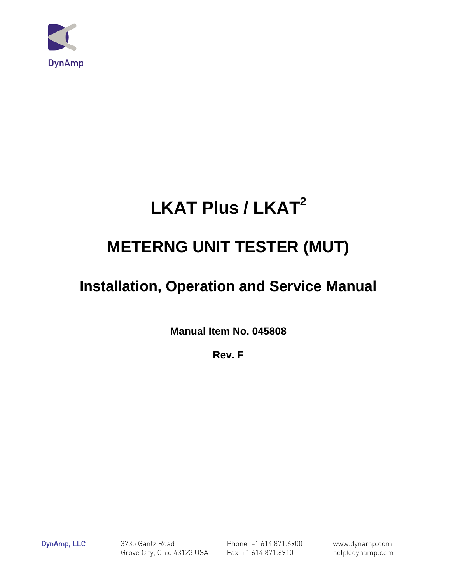

# **LKAT Plus / LKAT2**

# **METERNG UNIT TESTER (MUT)**

# **Installation, Operation and Service Manual**

**Manual Item No. 045808**

**Rev. F**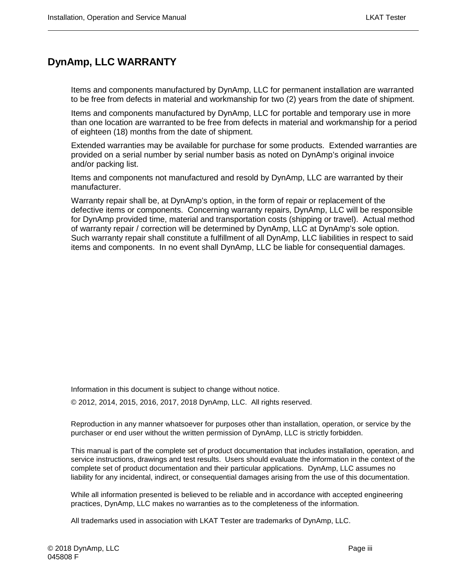### <span id="page-2-0"></span>**DynAmp, LLC WARRANTY**

Items and components manufactured by DynAmp, LLC for permanent installation are warranted to be free from defects in material and workmanship for two (2) years from the date of shipment.

Items and components manufactured by DynAmp, LLC for portable and temporary use in more than one location are warranted to be free from defects in material and workmanship for a period of eighteen (18) months from the date of shipment.

Extended warranties may be available for purchase for some products. Extended warranties are provided on a serial number by serial number basis as noted on DynAmp's original invoice and/or packing list.

Items and components not manufactured and resold by DynAmp, LLC are warranted by their manufacturer.

Warranty repair shall be, at DynAmp's option, in the form of repair or replacement of the defective items or components. Concerning warranty repairs, DynAmp, LLC will be responsible for DynAmp provided time, material and transportation costs (shipping or travel). Actual method of warranty repair / correction will be determined by DynAmp, LLC at DynAmp's sole option. Such warranty repair shall constitute a fulfillment of all DynAmp, LLC liabilities in respect to said items and components. In no event shall DynAmp, LLC be liable for consequential damages.

Information in this document is subject to change without notice.

© 2012, 2014, 2015, 2016, 2017, 2018 DynAmp, LLC. All rights reserved.

Reproduction in any manner whatsoever for purposes other than installation, operation, or service by the purchaser or end user without the written permission of DynAmp, LLC is strictly forbidden.

This manual is part of the complete set of product documentation that includes installation, operation, and service instructions, drawings and test results. Users should evaluate the information in the context of the complete set of product documentation and their particular applications. DynAmp, LLC assumes no liability for any incidental, indirect, or consequential damages arising from the use of this documentation.

While all information presented is believed to be reliable and in accordance with accepted engineering practices, DynAmp, LLC makes no warranties as to the completeness of the information.

All trademarks used in association with LKAT Tester are trademarks of DynAmp, LLC.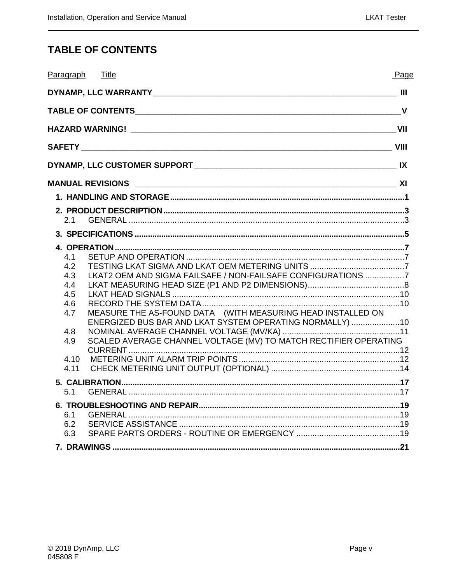### <span id="page-4-0"></span>**TABLE OF CONTENTS**

| Paragraph Title                                                                                                                                                                                                                                                                                                                           | Page |
|-------------------------------------------------------------------------------------------------------------------------------------------------------------------------------------------------------------------------------------------------------------------------------------------------------------------------------------------|------|
|                                                                                                                                                                                                                                                                                                                                           |      |
|                                                                                                                                                                                                                                                                                                                                           |      |
|                                                                                                                                                                                                                                                                                                                                           |      |
|                                                                                                                                                                                                                                                                                                                                           |      |
|                                                                                                                                                                                                                                                                                                                                           |      |
|                                                                                                                                                                                                                                                                                                                                           |      |
|                                                                                                                                                                                                                                                                                                                                           |      |
| 2.1                                                                                                                                                                                                                                                                                                                                       |      |
|                                                                                                                                                                                                                                                                                                                                           |      |
| 4.1<br>4.2<br>LKAT2 OEM AND SIGMA FAILSAFE / NON-FAILSAFE CONFIGURATIONS 7<br>4.3<br>44<br>4.5<br>4.6<br>MEASURE THE AS-FOUND DATA (WITH MEASURING HEAD INSTALLED ON<br>4.7<br>ENERGIZED BUS BAR AND LKAT SYSTEM OPERATING NORMALLY) 10<br>4.8<br>SCALED AVERAGE CHANNEL VOLTAGE (MV) TO MATCH RECTIFIER OPERATING<br>4.9<br>4.10<br>4.11 |      |
| 5.1                                                                                                                                                                                                                                                                                                                                       |      |
| 6.1<br>6.2<br>6.3                                                                                                                                                                                                                                                                                                                         |      |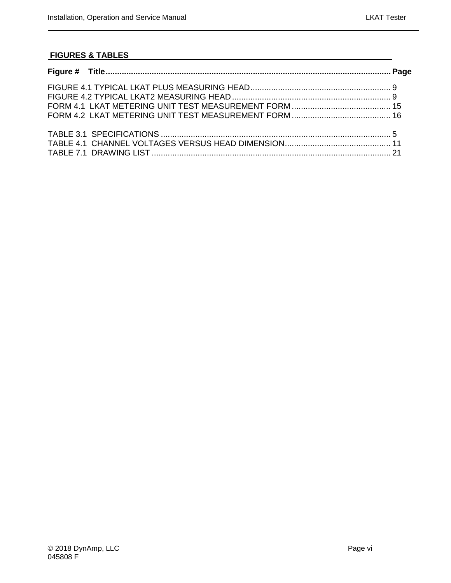#### **FIGURES & TABLES**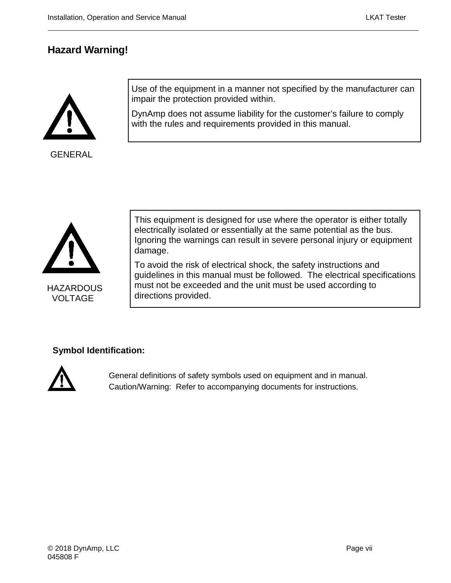### <span id="page-6-0"></span>**Hazard Warning!**



GENERAL

Use of the equipment in a manner not specified by the manufacturer can impair the protection provided within.

DynAmp does not assume liability for the customer's failure to comply with the rules and requirements provided in this manual.



**HAZARDOUS** VOLTAGE

This equipment is designed for use where the operator is either totally electrically isolated or essentially at the same potential as the bus. Ignoring the warnings can result in severe personal injury or equipment damage.

To avoid the risk of electrical shock, the safety instructions and guidelines in this manual must be followed. The electrical specifications must not be exceeded and the unit must be used according to directions provided.

#### **Symbol Identification:**



General definitions of safety symbols used on equipment and in manual. Caution/Warning: Refer to accompanying documents for instructions.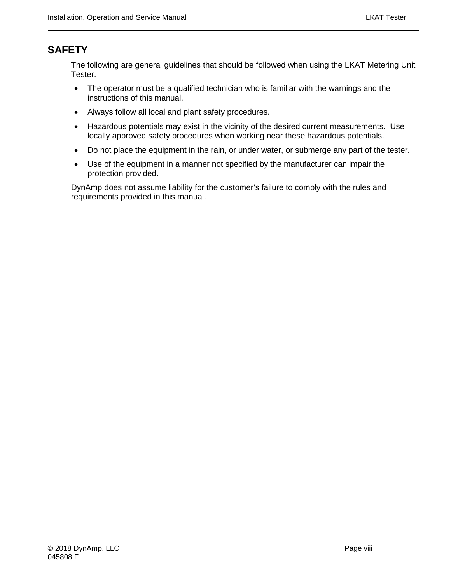### <span id="page-7-0"></span>**SAFETY**

The following are general guidelines that should be followed when using the LKAT Metering Unit Tester.

- The operator must be a qualified technician who is familiar with the warnings and the instructions of this manual.
- Always follow all local and plant safety procedures.
- Hazardous potentials may exist in the vicinity of the desired current measurements. Use locally approved safety procedures when working near these hazardous potentials.
- Do not place the equipment in the rain, or under water, or submerge any part of the tester.
- Use of the equipment in a manner not specified by the manufacturer can impair the protection provided.

DynAmp does not assume liability for the customer's failure to comply with the rules and requirements provided in this manual.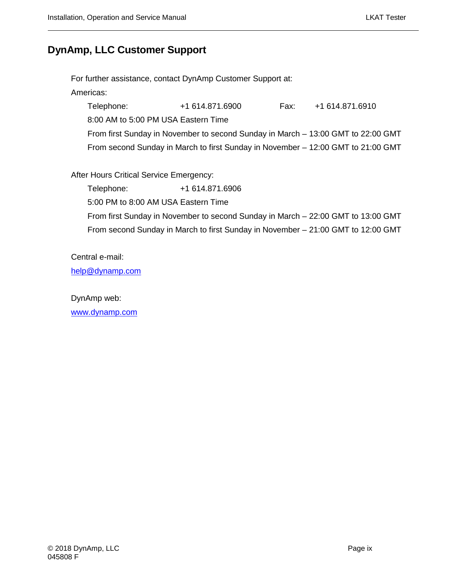#### <span id="page-8-0"></span>**DynAmp, LLC Customer Support**

For further assistance, contact DynAmp Customer Support at:

Americas:

Telephone: +1 614.871.6900 Fax: +1 614.871.6910

8:00 AM to 5:00 PM USA Eastern Time

From first Sunday in November to second Sunday in March – 13:00 GMT to 22:00 GMT From second Sunday in March to first Sunday in November – 12:00 GMT to 21:00 GMT

After Hours Critical Service Emergency:

Telephone: +1 614.871.6906

5:00 PM to 8:00 AM USA Eastern Time

From first Sunday in November to second Sunday in March – 22:00 GMT to 13:00 GMT From second Sunday in March to first Sunday in November – 21:00 GMT to 12:00 GMT

Central e-mail:

[help@dynamp.com](mailto:help@dynamp.com)

DynAmp web:

[www.dynamp.com](http://www.dynamp.com/)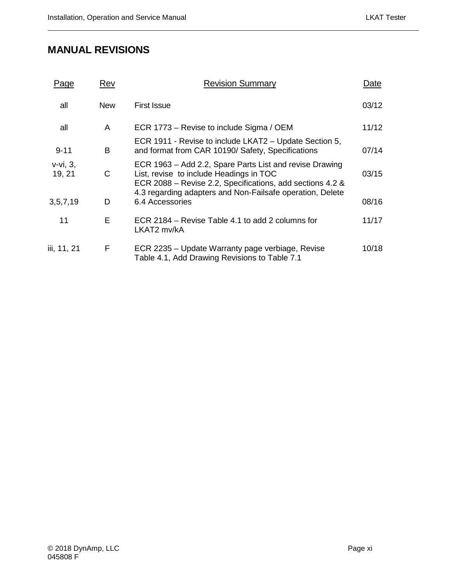### <span id="page-10-0"></span>**MANUAL REVISIONS**

| Page                     | Rev        | <b>Revision Summary</b>                                                                                                                                         | Date  |
|--------------------------|------------|-----------------------------------------------------------------------------------------------------------------------------------------------------------------|-------|
| all                      | <b>New</b> | <b>First Issue</b>                                                                                                                                              | 03/12 |
| all                      | A          | ECR 1773 – Revise to include Sigma / OEM                                                                                                                        | 11/12 |
| $9 - 11$                 | B          | ECR 1911 - Revise to include LKAT2 – Update Section 5,<br>and format from CAR 10190/ Safety, Specifications                                                     | 07/14 |
| $v-vi$ , $3$ ,<br>19, 21 | C          | ECR 1963 – Add 2.2, Spare Parts List and revise Drawing<br>List, revise to include Headings in TOC<br>ECR 2088 – Revise 2.2, Specifications, add sections 4.2 & | 03/15 |
| 3, 5, 7, 19              | D          | 4.3 regarding adapters and Non-Failsafe operation, Delete<br>6.4 Accessories                                                                                    | 08/16 |
| 11                       | E          | ECR 2184 – Revise Table 4.1 to add 2 columns for<br>LKAT2 mv/kA                                                                                                 | 11/17 |
| iii, 11, 21              | F          | ECR 2235 – Update Warranty page verbiage, Revise<br>Table 4.1, Add Drawing Revisions to Table 7.1                                                               | 10/18 |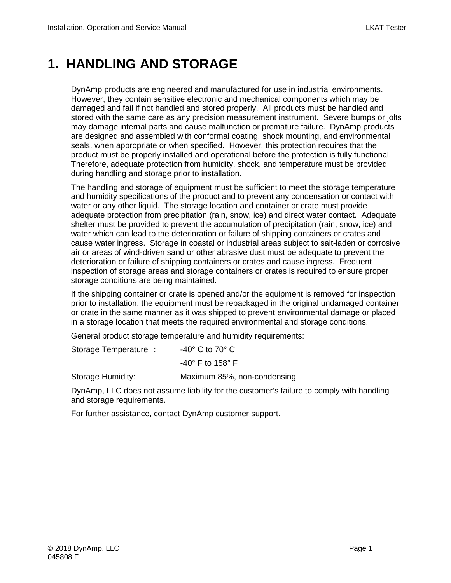### <span id="page-12-0"></span>**1. HANDLING AND STORAGE**

DynAmp products are engineered and manufactured for use in industrial environments. However, they contain sensitive electronic and mechanical components which may be damaged and fail if not handled and stored properly. All products must be handled and stored with the same care as any precision measurement instrument. Severe bumps or jolts may damage internal parts and cause malfunction or premature failure. DynAmp products are designed and assembled with conformal coating, shock mounting, and environmental seals, when appropriate or when specified. However, this protection requires that the product must be properly installed and operational before the protection is fully functional. Therefore, adequate protection from humidity, shock, and temperature must be provided during handling and storage prior to installation.

The handling and storage of equipment must be sufficient to meet the storage temperature and humidity specifications of the product and to prevent any condensation or contact with water or any other liquid. The storage location and container or crate must provide adequate protection from precipitation (rain, snow, ice) and direct water contact. Adequate shelter must be provided to prevent the accumulation of precipitation (rain, snow, ice) and water which can lead to the deterioration or failure of shipping containers or crates and cause water ingress. Storage in coastal or industrial areas subject to salt-laden or corrosive air or areas of wind-driven sand or other abrasive dust must be adequate to prevent the deterioration or failure of shipping containers or crates and cause ingress. Frequent inspection of storage areas and storage containers or crates is required to ensure proper storage conditions are being maintained.

If the shipping container or crate is opened and/or the equipment is removed for inspection prior to installation, the equipment must be repackaged in the original undamaged container or crate in the same manner as it was shipped to prevent environmental damage or placed in a storage location that meets the required environmental and storage conditions.

General product storage temperature and humidity requirements:

Storage Temperature : -40° C to 70° C

-40° F to 158° F

Storage Humidity: Maximum 85%, non-condensing

DynAmp, LLC does not assume liability for the customer's failure to comply with handling and storage requirements.

For further assistance, contact DynAmp customer support.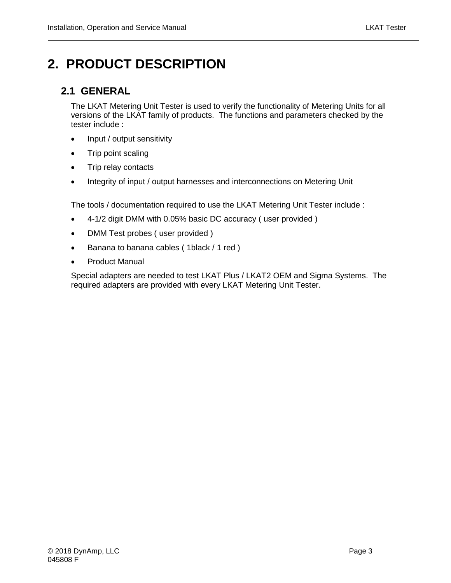# <span id="page-14-0"></span>**2. PRODUCT DESCRIPTION**

#### <span id="page-14-1"></span>**2.1 GENERAL**

The LKAT Metering Unit Tester is used to verify the functionality of Metering Units for all versions of the LKAT family of products. The functions and parameters checked by the tester include :

- Input / output sensitivity
- Trip point scaling
- Trip relay contacts
- Integrity of input / output harnesses and interconnections on Metering Unit

The tools / documentation required to use the LKAT Metering Unit Tester include :

- 4-1/2 digit DMM with 0.05% basic DC accuracy ( user provided )
- DMM Test probes (user provided)
- Banana to banana cables ( 1black / 1 red )
- Product Manual

Special adapters are needed to test LKAT Plus / LKAT2 OEM and Sigma Systems. The required adapters are provided with every LKAT Metering Unit Tester.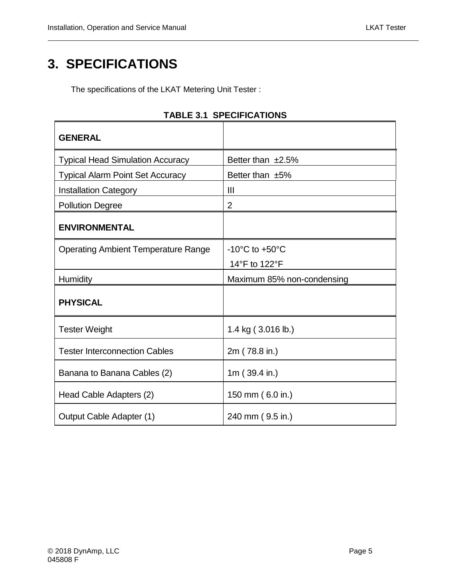# <span id="page-16-0"></span>**3. SPECIFICATIONS**

The specifications of the LKAT Metering Unit Tester :

<span id="page-16-1"></span>

| <b>GENERAL</b>                             |                                    |
|--------------------------------------------|------------------------------------|
| <b>Typical Head Simulation Accuracy</b>    | Better than $±2.5\%$               |
| <b>Typical Alarm Point Set Accuracy</b>    | Better than $±5\%$                 |
| <b>Installation Category</b>               | $\mathbf{III}$                     |
| <b>Pollution Degree</b>                    | $\overline{2}$                     |
| <b>ENVIRONMENTAL</b>                       |                                    |
| <b>Operating Ambient Temperature Range</b> | $-10^{\circ}$ C to $+50^{\circ}$ C |
|                                            | 14°F to 122°F                      |
| <b>Humidity</b>                            | Maximum 85% non-condensing         |
| <b>PHYSICAL</b>                            |                                    |
| <b>Tester Weight</b>                       | 1.4 kg (3.016 lb.)                 |
| <b>Tester Interconnection Cables</b>       | 2m (78.8 in.)                      |
| Banana to Banana Cables (2)                | 1m $(39.4 \text{ in.})$            |
| Head Cable Adapters (2)                    | 150 mm (6.0 in.)                   |
| Output Cable Adapter (1)                   | 240 mm (9.5 in.)                   |

#### **TABLE 3.1 SPECIFICATIONS**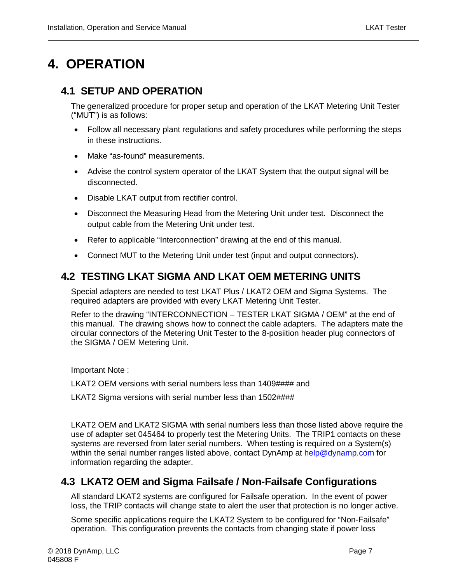## <span id="page-18-0"></span>**4. OPERATION**

#### <span id="page-18-1"></span>**4.1 SETUP AND OPERATION**

The generalized procedure for proper setup and operation of the LKAT Metering Unit Tester ("MUT") is as follows:

- Follow all necessary plant regulations and safety procedures while performing the steps in these instructions.
- Make "as-found" measurements.
- Advise the control system operator of the LKAT System that the output signal will be disconnected.
- Disable LKAT output from rectifier control.
- Disconnect the Measuring Head from the Metering Unit under test. Disconnect the output cable from the Metering Unit under test.
- Refer to applicable "Interconnection" drawing at the end of this manual.
- Connect MUT to the Metering Unit under test (input and output connectors).

#### <span id="page-18-2"></span>**4.2 TESTING LKAT SIGMA AND LKAT OEM METERING UNITS**

Special adapters are needed to test LKAT Plus / LKAT2 OEM and Sigma Systems. The required adapters are provided with every LKAT Metering Unit Tester.

Refer to the drawing "INTERCONNECTION – TESTER LKAT SIGMA / OEM" at the end of this manual. The drawing shows how to connect the cable adapters. The adapters mate the circular connectors of the Metering Unit Tester to the 8-posiition header plug connectors of the SIGMA / OEM Metering Unit.

Important Note :

LKAT2 OEM versions with serial numbers less than 1409#### and

LKAT2 Sigma versions with serial number less than 1502####

LKAT2 OEM and LKAT2 SIGMA with serial numbers less than those listed above require the use of adapter set 045464 to properly test the Metering Units. The TRIP1 contacts on these systems are reversed from later serial numbers. When testing is required on a System(s) within the serial number ranges listed above, contact DynAmp at [help@dynamp.com](mailto:help@dynamp.com) for information regarding the adapter.

#### <span id="page-18-3"></span>**4.3 LKAT2 OEM and Sigma Failsafe / Non-Failsafe Configurations**

All standard LKAT2 systems are configured for Failsafe operation. In the event of power loss, the TRIP contacts will change state to alert the user that protection is no longer active.

Some specific applications require the LKAT2 System to be configured for "Non-Failsafe" operation. This configuration prevents the contacts from changing state if power loss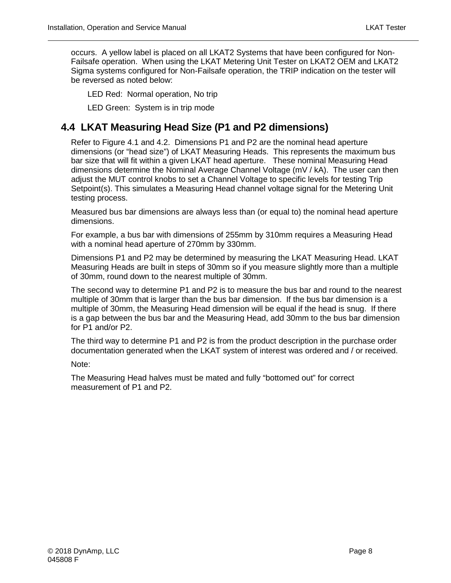occurs. A yellow label is placed on all LKAT2 Systems that have been configured for Non-Failsafe operation. When using the LKAT Metering Unit Tester on LKAT2 OEM and LKAT2 Sigma systems configured for Non-Failsafe operation, the TRIP indication on the tester will be reversed as noted below:

LED Red: Normal operation, No trip

LED Green: System is in trip mode

#### <span id="page-19-0"></span>**4.4 LKAT Measuring Head Size (P1 and P2 dimensions)**

Refer to Figure 4.1 and 4.2. Dimensions P1 and P2 are the nominal head aperture dimensions (or "head size") of LKAT Measuring Heads. This represents the maximum bus bar size that will fit within a given LKAT head aperture. These nominal Measuring Head dimensions determine the Nominal Average Channel Voltage (mV / kA). The user can then adjust the MUT control knobs to set a Channel Voltage to specific levels for testing Trip Setpoint(s). This simulates a Measuring Head channel voltage signal for the Metering Unit testing process.

Measured bus bar dimensions are always less than (or equal to) the nominal head aperture dimensions.

For example, a bus bar with dimensions of 255mm by 310mm requires a Measuring Head with a nominal head aperture of 270mm by 330mm.

Dimensions P1 and P2 may be determined by measuring the LKAT Measuring Head. LKAT Measuring Heads are built in steps of 30mm so if you measure slightly more than a multiple of 30mm, round down to the nearest multiple of 30mm.

The second way to determine P1 and P2 is to measure the bus bar and round to the nearest multiple of 30mm that is larger than the bus bar dimension. If the bus bar dimension is a multiple of 30mm, the Measuring Head dimension will be equal if the head is snug. If there is a gap between the bus bar and the Measuring Head, add 30mm to the bus bar dimension for P1 and/or P2.

The third way to determine P1 and P2 is from the product description in the purchase order documentation generated when the LKAT system of interest was ordered and / or received.

Note:

The Measuring Head halves must be mated and fully "bottomed out" for correct measurement of P1 and P2.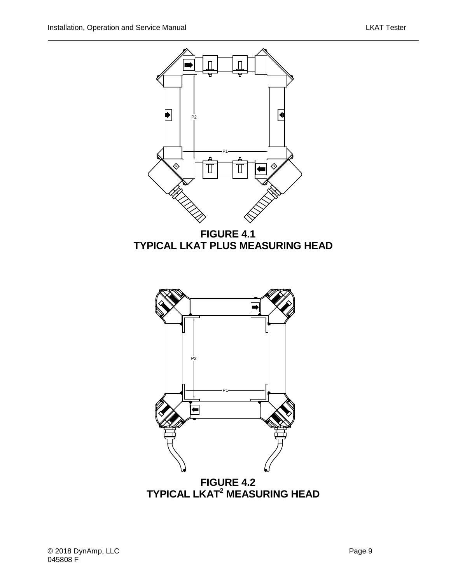

<span id="page-20-0"></span>**FIGURE 4.1 TYPICAL LKAT PLUS MEASURING HEAD**



<span id="page-20-1"></span>**TYPICAL LKAT2 MEASURING HEAD**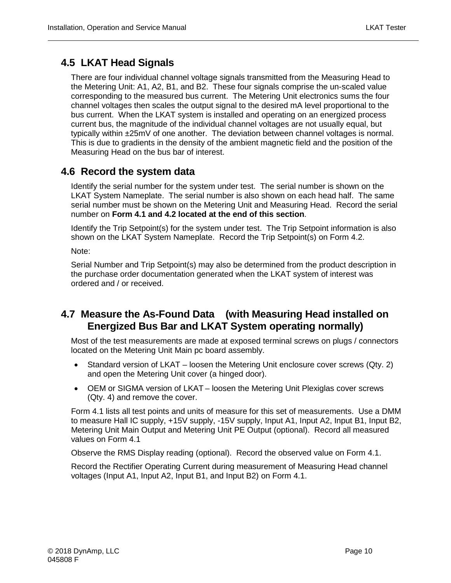#### <span id="page-21-0"></span>**4.5 LKAT Head Signals**

There are four individual channel voltage signals transmitted from the Measuring Head to the Metering Unit: A1, A2, B1, and B2. These four signals comprise the un-scaled value corresponding to the measured bus current. The Metering Unit electronics sums the four channel voltages then scales the output signal to the desired mA level proportional to the bus current. When the LKAT system is installed and operating on an energized process current bus, the magnitude of the individual channel voltages are not usually equal, but typically within ±25mV of one another. The deviation between channel voltages is normal. This is due to gradients in the density of the ambient magnetic field and the position of the Measuring Head on the bus bar of interest.

#### <span id="page-21-1"></span>**4.6 Record the system data**

Identify the serial number for the system under test. The serial number is shown on the LKAT System Nameplate. The serial number is also shown on each head half. The same serial number must be shown on the Metering Unit and Measuring Head. Record the serial number on **Form 4.1 and 4.2 located at the end of this section**.

Identify the Trip Setpoint(s) for the system under test. The Trip Setpoint information is also shown on the LKAT System Nameplate. Record the Trip Setpoint(s) on Form 4.2.

Note:

Serial Number and Trip Setpoint(s) may also be determined from the product description in the purchase order documentation generated when the LKAT system of interest was ordered and / or received.

#### <span id="page-21-2"></span>**4.7 Measure the As-Found Data (with Measuring Head installed on Energized Bus Bar and LKAT System operating normally)**

Most of the test measurements are made at exposed terminal screws on plugs / connectors located on the Metering Unit Main pc board assembly.

- Standard version of LKAT loosen the Metering Unit enclosure cover screws (Qty. 2) and open the Metering Unit cover (a hinged door).
- OEM or SIGMA version of LKAT loosen the Metering Unit Plexiglas cover screws (Qty. 4) and remove the cover.

Form 4.1 lists all test points and units of measure for this set of measurements. Use a DMM to measure Hall IC supply, +15V supply, -15V supply, Input A1, Input A2, Input B1, Input B2, Metering Unit Main Output and Metering Unit PE Output (optional). Record all measured values on Form 4.1

Observe the RMS Display reading (optional). Record the observed value on Form 4.1.

Record the Rectifier Operating Current during measurement of Measuring Head channel voltages (Input A1, Input A2, Input B1, and Input B2) on Form 4.1.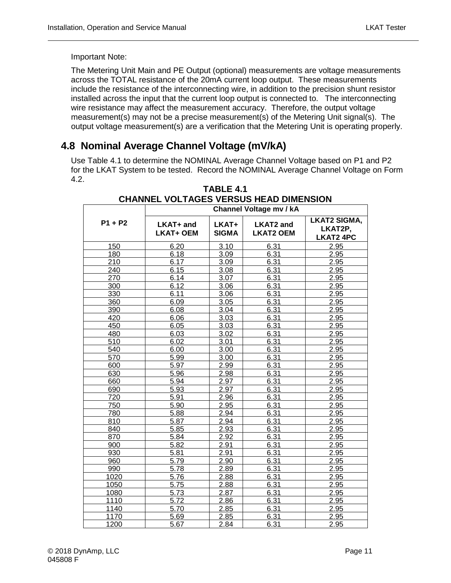Important Note:

The Metering Unit Main and PE Output (optional) measurements are voltage measurements across the TOTAL resistance of the 20mA current loop output. These measurements include the resistance of the interconnecting wire, in addition to the precision shunt resistor installed across the input that the current loop output is connected to. The interconnecting wire resistance may affect the measurement accuracy. Therefore, the output voltage measurement(s) may not be a precise measurement(s) of the Metering Unit signal(s). The output voltage measurement(s) are a verification that the Metering Unit is operating properly.

#### <span id="page-22-0"></span>**4.8 Nominal Average Channel Voltage (mV/kA)**

<span id="page-22-1"></span>Use Table 4.1 to determine the NOMINAL Average Channel Voltage based on P1 and P2 for the LKAT System to be tested. Record the NOMINAL Average Channel Voltage on Form 4.2.

**TABLE 4.1** 

| <b>CHANNEL VOLTAGES VERSUS HEAD DIMENSION</b> |                               |                       |                                      |                                                    |  |  |
|-----------------------------------------------|-------------------------------|-----------------------|--------------------------------------|----------------------------------------------------|--|--|
|                                               | Channel Voltage mv / kA       |                       |                                      |                                                    |  |  |
| $P1 + P2$                                     | LKAT+ and<br><b>LKAT+ OEM</b> | LKAT+<br><b>SIGMA</b> | <b>LKAT2 and</b><br><b>LKAT2 OEM</b> | <b>LKAT2 SIGMA,</b><br>LKAT2P,<br><b>LKAT2 4PC</b> |  |  |
| 150                                           | 6.20                          | 3.10                  | 6.31                                 | 2.95                                               |  |  |
| 180                                           | 6.18                          | 3.09                  | 6.31                                 | 2.95                                               |  |  |
| 210                                           | 6.17                          | 3.09                  | 6.31                                 | 2.95                                               |  |  |
| 240                                           | 6.15                          | 3.08                  | 6.31                                 | 2.95                                               |  |  |
| 270                                           | 6.14                          | 3.07                  | 6.31                                 | 2.95                                               |  |  |
| 300                                           | 6.12                          | 3.06                  | 6.31                                 | 2.95                                               |  |  |
| 330                                           | 6.11                          | 3.06                  | 6.31                                 | 2.95                                               |  |  |
| 360                                           | 6.09                          | 3.05                  | 6.31                                 | 2.95                                               |  |  |
| 390                                           | 6.08                          | 3.04                  | 6.31                                 | 2.95                                               |  |  |
| 420                                           | 6.06                          | 3.03                  | 6.31                                 | 2.95                                               |  |  |
| 450                                           | 6.05                          | 3.03                  | 6.31                                 | 2.95                                               |  |  |
| 480                                           | 6.03                          | 3.02                  | 6.31                                 | 2.95                                               |  |  |
| 510                                           | 6.02                          | 3.01                  | 6.31                                 | 2.95                                               |  |  |
| 540                                           | 6.00                          | 3.00                  | 6.31                                 | 2.95                                               |  |  |
| 570                                           | 5.99                          | 3.00                  | 6.31                                 | 2.95                                               |  |  |
| 600                                           | 5.97                          | 2.99                  | 6.31                                 | 2.95                                               |  |  |
| 630                                           | 5.96                          | 2.98                  | 6.31                                 | 2.95                                               |  |  |
| 660                                           | 5.94                          | 2.97                  | 6.31                                 | 2.95                                               |  |  |
| 690                                           | 5.93                          | 2.97                  | 6.31                                 | 2.95                                               |  |  |
| 720                                           | 5.91                          | 2.96                  | 6.31                                 | 2.95                                               |  |  |
| 750                                           | 5.90                          | 2.95                  | 6.31                                 | 2.95                                               |  |  |
| 780                                           | 5.88                          | 2.94                  | 6.31                                 | 2.95                                               |  |  |
| 810                                           | 5.87                          | 2.94                  | 6.31                                 | 2.95                                               |  |  |
| 840                                           | 5.85                          | 2.93                  | 6.31                                 | 2.95                                               |  |  |
| 870                                           | 5.84                          | 2.92                  | 6.31                                 | 2.95                                               |  |  |
| 900                                           | 5.82                          | 2.91                  | 6.31                                 | 2.95                                               |  |  |
| 930                                           | 5.81                          | 2.91                  | 6.31                                 | 2.95                                               |  |  |
| 960                                           | 5.79                          | 2.90                  | 6.31                                 | 2.95                                               |  |  |
| 990                                           | 5.78                          | 2.89                  | 6.31                                 | 2.95                                               |  |  |
| 1020                                          | 5.76                          | 2.88                  | 6.31                                 | 2.95                                               |  |  |
| 1050                                          | 5.75                          | 2.88                  | 6.31                                 | 2.95                                               |  |  |
| 1080                                          | 5.73                          | 2.87                  | 6.31                                 | 2.95                                               |  |  |
| 1110                                          | 5.72                          | 2.86                  | 6.31                                 | 2.95                                               |  |  |
| 1140                                          | 5.70                          | 2.85                  | 6.31                                 | 2.95                                               |  |  |
| 1170                                          | 5.69                          | 2.85                  | 6.31                                 | 2.95                                               |  |  |
| 1200                                          | 5.67                          | 2.84                  | 6.31                                 | 2.95                                               |  |  |

#### © 2018 DynAmp, LLC Page 11 045808 F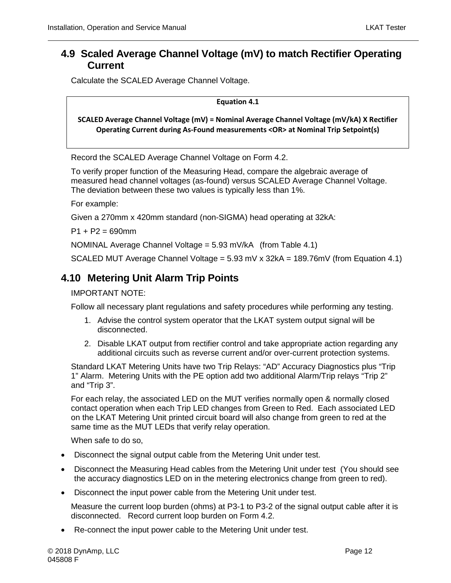#### <span id="page-23-0"></span>**4.9 Scaled Average Channel Voltage (mV) to match Rectifier Operating Current**

Calculate the SCALED Average Channel Voltage.

**Equation 4.1**

**SCALED Average Channel Voltage (mV) = Nominal Average Channel Voltage (mV/kA) X Rectifier Operating Current during As-Found measurements <OR> at Nominal Trip Setpoint(s)** 

Record the SCALED Average Channel Voltage on Form 4.2.

To verify proper function of the Measuring Head, compare the algebraic average of measured head channel voltages (as-found) versus SCALED Average Channel Voltage. The deviation between these two values is typically less than 1%.

For example:

Given a 270mm x 420mm standard (non-SIGMA) head operating at 32kA:

 $P1 + P2 = 690$ mm

NOMINAL Average Channel Voltage = 5.93 mV/kA (from Table 4.1)

SCALED MUT Average Channel Voltage = 5.93 mV x 32kA = 189.76mV (from Equation 4.1)

### <span id="page-23-1"></span>**4.10 Metering Unit Alarm Trip Points**

IMPORTANT NOTE:

Follow all necessary plant regulations and safety procedures while performing any testing.

- 1. Advise the control system operator that the LKAT system output signal will be disconnected.
- 2. Disable LKAT output from rectifier control and take appropriate action regarding any additional circuits such as reverse current and/or over-current protection systems.

Standard LKAT Metering Units have two Trip Relays: "AD" Accuracy Diagnostics plus "Trip 1" Alarm. Metering Units with the PE option add two additional Alarm/Trip relays "Trip 2" and "Trip 3".

For each relay, the associated LED on the MUT verifies normally open & normally closed contact operation when each Trip LED changes from Green to Red. Each associated LED on the LKAT Metering Unit printed circuit board will also change from green to red at the same time as the MUT LEDs that verify relay operation.

When safe to do so,

- Disconnect the signal output cable from the Metering Unit under test.
- Disconnect the Measuring Head cables from the Metering Unit under test (You should see the accuracy diagnostics LED on in the metering electronics change from green to red).
- Disconnect the input power cable from the Metering Unit under test.

Measure the current loop burden (ohms) at P3-1 to P3-2 of the signal output cable after it is disconnected. Record current loop burden on Form 4.2.

• Re-connect the input power cable to the Metering Unit under test.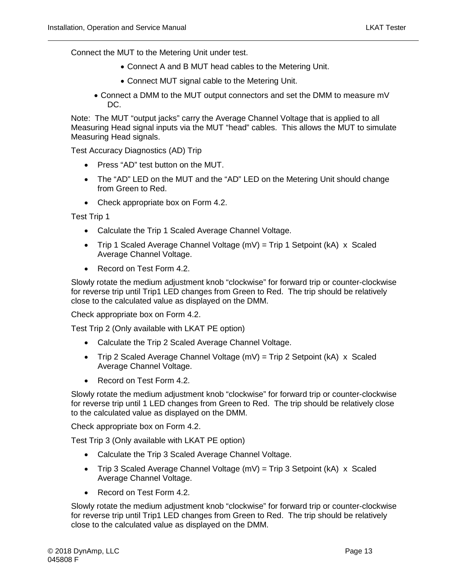Connect the MUT to the Metering Unit under test.

- Connect A and B MUT head cables to the Metering Unit.
- Connect MUT signal cable to the Metering Unit.
- Connect a DMM to the MUT output connectors and set the DMM to measure mV DC.

Note: The MUT "output jacks" carry the Average Channel Voltage that is applied to all Measuring Head signal inputs via the MUT "head" cables. This allows the MUT to simulate Measuring Head signals.

Test Accuracy Diagnostics (AD) Trip

- Press "AD" test button on the MUT.
- The "AD" LED on the MUT and the "AD" LED on the Metering Unit should change from Green to Red.
- Check appropriate box on Form 4.2.

Test Trip 1

- Calculate the Trip 1 Scaled Average Channel Voltage.
- Trip 1 Scaled Average Channel Voltage  $(mV)$  = Trip 1 Setpoint  $(kA)$  x Scaled Average Channel Voltage.
- Record on Test Form 4.2.

Slowly rotate the medium adjustment knob "clockwise" for forward trip or counter-clockwise for reverse trip until Trip1 LED changes from Green to Red. The trip should be relatively close to the calculated value as displayed on the DMM.

Check appropriate box on Form 4.2.

Test Trip 2 (Only available with LKAT PE option)

- Calculate the Trip 2 Scaled Average Channel Voltage.
- Trip 2 Scaled Average Channel Voltage  $(mV)$  = Trip 2 Setpoint (kA) x Scaled Average Channel Voltage.
- Record on Test Form 4.2.

Slowly rotate the medium adjustment knob "clockwise" for forward trip or counter-clockwise for reverse trip until 1 LED changes from Green to Red. The trip should be relatively close to the calculated value as displayed on the DMM.

Check appropriate box on Form 4.2.

Test Trip 3 (Only available with LKAT PE option)

- Calculate the Trip 3 Scaled Average Channel Voltage.
- Trip 3 Scaled Average Channel Voltage  $(mV)$  = Trip 3 Setpoint (kA) x Scaled Average Channel Voltage.
- Record on Test Form 4.2.

Slowly rotate the medium adjustment knob "clockwise" for forward trip or counter-clockwise for reverse trip until Trip1 LED changes from Green to Red. The trip should be relatively close to the calculated value as displayed on the DMM.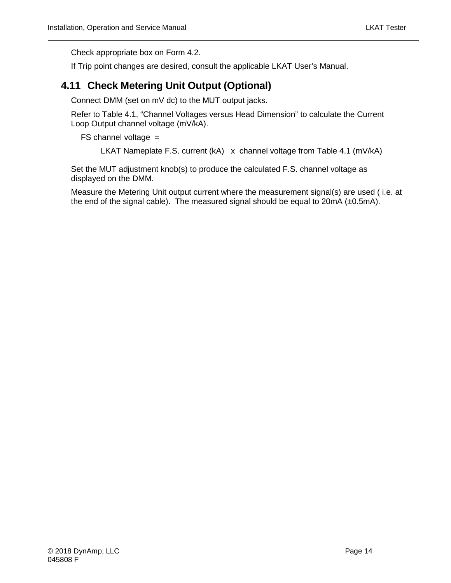Check appropriate box on Form 4.2.

If Trip point changes are desired, consult the applicable LKAT User's Manual.

#### <span id="page-25-0"></span>**4.11 Check Metering Unit Output (Optional)**

Connect DMM (set on mV dc) to the MUT output jacks.

Refer to Table 4.1, "Channel Voltages versus Head Dimension" to calculate the Current Loop Output channel voltage (mV/kA).

 $FS$  channel voltage  $=$ 

LKAT Nameplate F.S. current (kA) x channel voltage from Table 4.1 (mV/kA)

Set the MUT adjustment knob(s) to produce the calculated F.S. channel voltage as displayed on the DMM.

Measure the Metering Unit output current where the measurement signal(s) are used ( i.e. at the end of the signal cable). The measured signal should be equal to 20mA (±0.5mA).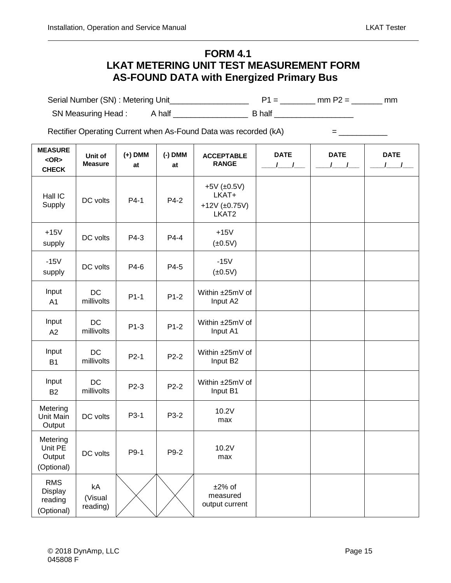#### **FORM 4.1 LKAT METERING UNIT TEST MEASUREMENT FORM AS-FOUND DATA with Energized Primary Bus**

<span id="page-26-0"></span>Serial Number (SN) : Metering Unit\_\_\_\_\_\_\_\_\_\_\_\_\_\_\_\_\_\_ P1 = \_\_\_\_\_\_\_\_ mm P2 = \_\_\_\_\_\_\_ mm SN Measuring Head : A half \_\_\_\_\_\_\_\_\_\_\_\_\_\_\_\_\_ B half \_\_\_\_\_\_\_\_\_\_\_\_\_\_\_\_\_\_

Rectifier Operating Current when As-Found Data was recorded (kA) = \_\_\_\_\_\_\_\_\_\_\_\_\_

| <b>MEASURE</b><br>$<$ OR $>$<br><b>CHECK</b>   | Unit of<br><b>Measure</b> | $(+)$ DMM<br>at | $(-)$ DMM<br>at | <b>ACCEPTABLE</b><br><b>RANGE</b>                               | <b>DATE</b><br>$\sqrt{ }$ | <b>DATE</b> | <b>DATE</b><br>$\mathbf{I}$ |
|------------------------------------------------|---------------------------|-----------------|-----------------|-----------------------------------------------------------------|---------------------------|-------------|-----------------------------|
| Hall IC<br>Supply                              | DC volts                  | $P4-1$          | P4-2            | $+5V$ ( $\pm 0.5V$ )<br>LKAT+<br>$+12V$ ( $\pm$ 0.75V)<br>LKAT2 |                           |             |                             |
| $+15V$<br>supply                               | DC volts                  | P4-3            | $P4-4$          | $+15V$<br>$(\pm 0.5V)$                                          |                           |             |                             |
| $-15V$<br>supply                               | DC volts                  | P4-6            | P4-5            | $-15V$<br>$(\pm 0.5V)$                                          |                           |             |                             |
| Input<br>A <sub>1</sub>                        | <b>DC</b><br>millivolts   | $P1-1$          | $P1-2$          | Within ±25mV of<br>Input A2                                     |                           |             |                             |
| Input<br>A2                                    | <b>DC</b><br>millivolts   | $P1-3$          | $P1-2$          | Within ±25mV of<br>Input A1                                     |                           |             |                             |
| Input<br><b>B1</b>                             | <b>DC</b><br>millivolts   | $P2-1$          | P2-2            | Within ±25mV of<br>Input B2                                     |                           |             |                             |
| Input<br><b>B2</b>                             | <b>DC</b><br>millivolts   | P2-3            | $P2-2$          | Within ±25mV of<br>Input B1                                     |                           |             |                             |
| Metering<br>Unit Main<br>Output                | DC volts                  | P3-1            | P3-2            | 10.2V<br>max                                                    |                           |             |                             |
| Metering<br>Unit PE<br>Output<br>(Optional)    | DC volts                  | P9-1            | P9-2            | 10.2V<br>max                                                    |                           |             |                             |
| <b>RMS</b><br>Display<br>reading<br>(Optional) | kA<br>(Visual<br>reading) |                 |                 | $±2\%$ of<br>measured<br>output current                         |                           |             |                             |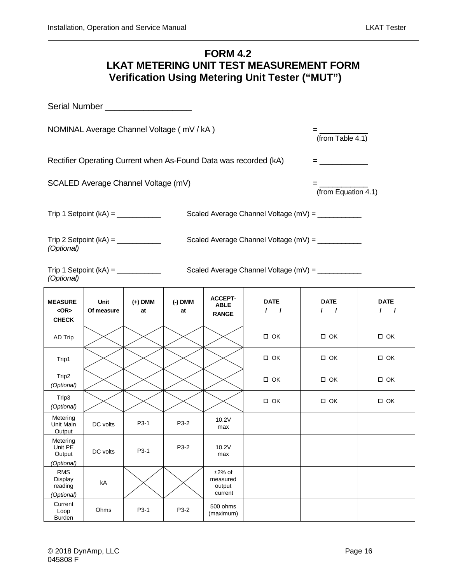#### **FORM 4.2 LKAT METERING UNIT TEST MEASUREMENT FORM Verification Using Metering Unit Tester ("MUT")**

<span id="page-27-0"></span>

| NOMINAL Average Channel Voltage (mV / kA)                                                    |                    |               |               |                                               |                                                   | $=\frac{1}{(\text{from Table 4.1})}$ |                           |
|----------------------------------------------------------------------------------------------|--------------------|---------------|---------------|-----------------------------------------------|---------------------------------------------------|--------------------------------------|---------------------------|
| Rectifier Operating Current when As-Found Data was recorded (kA)<br><u> = ______________</u> |                    |               |               |                                               |                                                   |                                      |                           |
| SCALED Average Channel Voltage (mV)<br>$=$ $\frac{1}{(from Equation 4.1)}$                   |                    |               |               |                                               |                                                   |                                      |                           |
|                                                                                              |                    |               |               |                                               | Scaled Average Channel Voltage (mV) = ___________ |                                      |                           |
| (Optional)                                                                                   |                    |               |               |                                               | Scaled Average Channel Voltage (mV) = ___________ |                                      |                           |
| Scaled Average Channel Voltage (mV) = ___________<br>(Optional)                              |                    |               |               |                                               |                                                   |                                      |                           |
| <b>MEASURE</b><br>$<$ OR $>$<br><b>CHECK</b>                                                 | Unit<br>Of measure | (+) DMM<br>at | (-) DMM<br>at | <b>ACCEPT-</b><br><b>ABLE</b><br><b>RANGE</b> | <b>DATE</b><br>$\sqrt{2}$                         | <b>DATE</b><br>$1 \quad 1 \quad$     | <b>DATE</b><br>$\sqrt{1}$ |
| AD Trip                                                                                      |                    |               |               |                                               | $\Box$ OK                                         | $\Box$ OK                            | □ ОК                      |
| Trip1                                                                                        |                    |               |               |                                               | $\Box$ OK                                         | $\square$ OK                         | $\Box$ OK                 |
| Trip2<br>(Optional)                                                                          |                    |               |               |                                               | □ ОК                                              | $\Box$ OK                            | □ ОК                      |
| Trip3<br>(Optional)                                                                          |                    |               |               |                                               | $\Box$ OK                                         | $\square$ OK                         | $\Box$ OK                 |
| Metering<br>Unit Main<br>Output                                                              | DC volts           | P3-1          | P3-2          | 10.2V<br>max                                  |                                                   |                                      |                           |
| Metering<br>Unit PE<br>Output<br>(Optional)                                                  | DC volts           | P3-1          | P3-2          | 10.2V<br>max                                  |                                                   |                                      |                           |
| <b>RMS</b><br>Display<br>reading<br>(Optional)                                               | kA                 |               |               | $±2\%$ of<br>measured<br>output<br>current    |                                                   |                                      |                           |
| Current<br>Loop<br><b>Burden</b>                                                             | Ohms               | P3-1          | P3-2          | 500 ohms<br>(maximum)                         |                                                   |                                      |                           |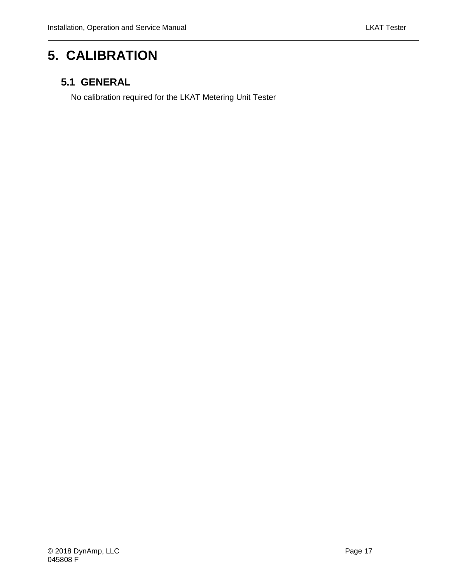### <span id="page-28-0"></span>**5. CALIBRATION**

### <span id="page-28-1"></span>**5.1 GENERAL**

No calibration required for the LKAT Metering Unit Tester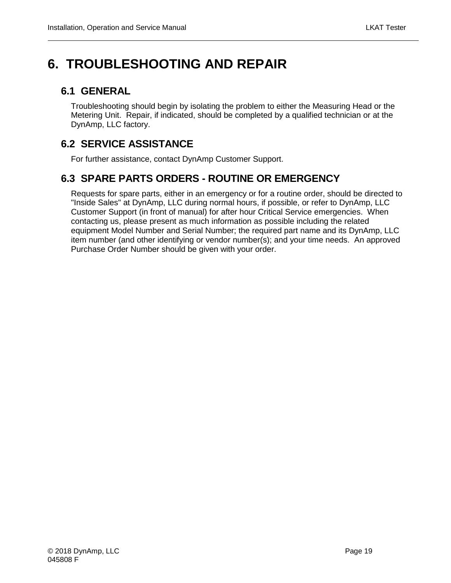## <span id="page-30-0"></span>**6. TROUBLESHOOTING AND REPAIR**

#### <span id="page-30-1"></span>**6.1 GENERAL**

Troubleshooting should begin by isolating the problem to either the Measuring Head or the Metering Unit. Repair, if indicated, should be completed by a qualified technician or at the DynAmp, LLC factory.

### <span id="page-30-2"></span>**6.2 SERVICE ASSISTANCE**

For further assistance, contact DynAmp Customer Support.

### <span id="page-30-3"></span>**6.3 SPARE PARTS ORDERS - ROUTINE OR EMERGENCY**

Requests for spare parts, either in an emergency or for a routine order, should be directed to "Inside Sales" at DynAmp, LLC during normal hours, if possible, or refer to DynAmp, LLC Customer Support (in front of manual) for after hour Critical Service emergencies. When contacting us, please present as much information as possible including the related equipment Model Number and Serial Number; the required part name and its DynAmp, LLC item number (and other identifying or vendor number(s); and your time needs. An approved Purchase Order Number should be given with your order.